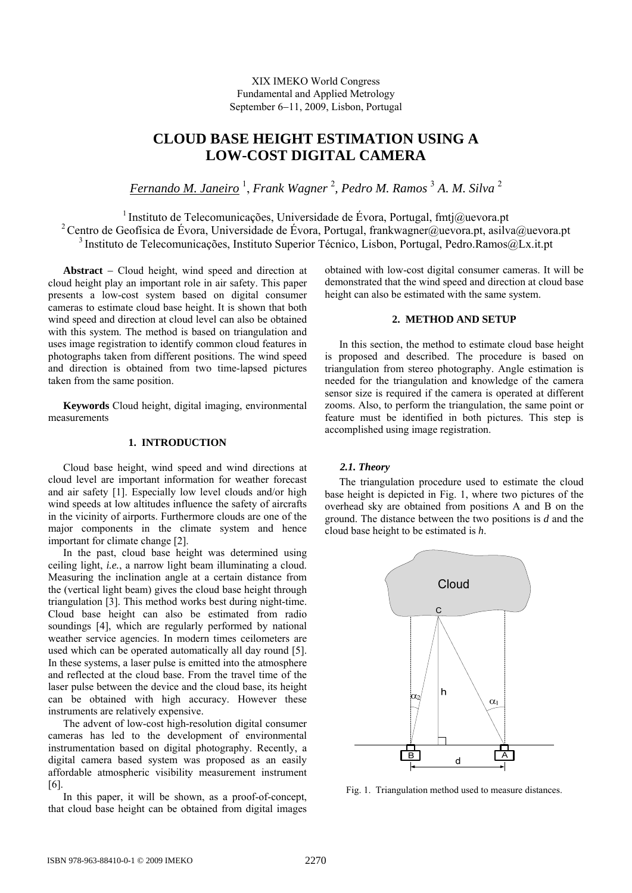XIX IMEKO World Congress Fundamental and Applied Metrology September 6-11, 2009, Lisbon, Portugal

# **CLOUD BASE HEIGHT ESTIMATION USING A LOW-COST DIGITAL CAMERA**

*Fernando M. Janeiro* <sup>1</sup> , *Frank Wagner* <sup>2</sup> *, Pedro M. Ramos* <sup>3</sup>  *A. M. Silva* <sup>2</sup>

<sup>1</sup> Instituto de Telecomunicações, Universidade de Évora, Portugal, fmtj $@u$ evora.pt 2 Centro de Geofísica de Évora, Universidade de Évora, Portugal, frankwagner@uevora.pt, asilva@uevora.pt 3 Instituto de Telecomunicações, Instituto Superior Técnico, Lisbon, Portugal, Pedro.Ramos@Lx.it.pt

Abstract – Cloud height, wind speed and direction at cloud height play an important role in air safety. This paper presents a low-cost system based on digital consumer cameras to estimate cloud base height. It is shown that both wind speed and direction at cloud level can also be obtained with this system. The method is based on triangulation and uses image registration to identify common cloud features in photographs taken from different positions. The wind speed and direction is obtained from two time-lapsed pictures taken from the same position.

**Keywords** Cloud height, digital imaging, environmental measurements

## **1. INTRODUCTION**

Cloud base height, wind speed and wind directions at cloud level are important information for weather forecast and air safety [1]. Especially low level clouds and/or high wind speeds at low altitudes influence the safety of aircrafts in the vicinity of airports. Furthermore clouds are one of the major components in the climate system and hence important for climate change [2].

In the past, cloud base height was determined using ceiling light, *i.e.*, a narrow light beam illuminating a cloud. Measuring the inclination angle at a certain distance from the (vertical light beam) gives the cloud base height through triangulation [3]. This method works best during night-time. Cloud base height can also be estimated from radio soundings [4], which are regularly performed by national weather service agencies. In modern times ceilometers are used which can be operated automatically all day round [5]. In these systems, a laser pulse is emitted into the atmosphere and reflected at the cloud base. From the travel time of the laser pulse between the device and the cloud base, its height can be obtained with high accuracy. However these instruments are relatively expensive.

The advent of low-cost high-resolution digital consumer cameras has led to the development of environmental instrumentation based on digital photography. Recently, a digital camera based system was proposed as an easily affordable atmospheric visibility measurement instrument [6].

In this paper, it will be shown, as a proof-of-concept, that cloud base height can be obtained from digital images obtained with low-cost digital consumer cameras. It will be demonstrated that the wind speed and direction at cloud base height can also be estimated with the same system.

## **2. METHOD AND SETUP**

In this section, the method to estimate cloud base height is proposed and described. The procedure is based on triangulation from stereo photography. Angle estimation is needed for the triangulation and knowledge of the camera sensor size is required if the camera is operated at different zooms. Also, to perform the triangulation, the same point or feature must be identified in both pictures. This step is accomplished using image registration.

## *2.1. Theory*

The triangulation procedure used to estimate the cloud base height is depicted in Fig. 1, where two pictures of the overhead sky are obtained from positions A and B on the ground. The distance between the two positions is *d* and the cloud base height to be estimated is *h*.



Fig. 1. Triangulation method used to measure distances.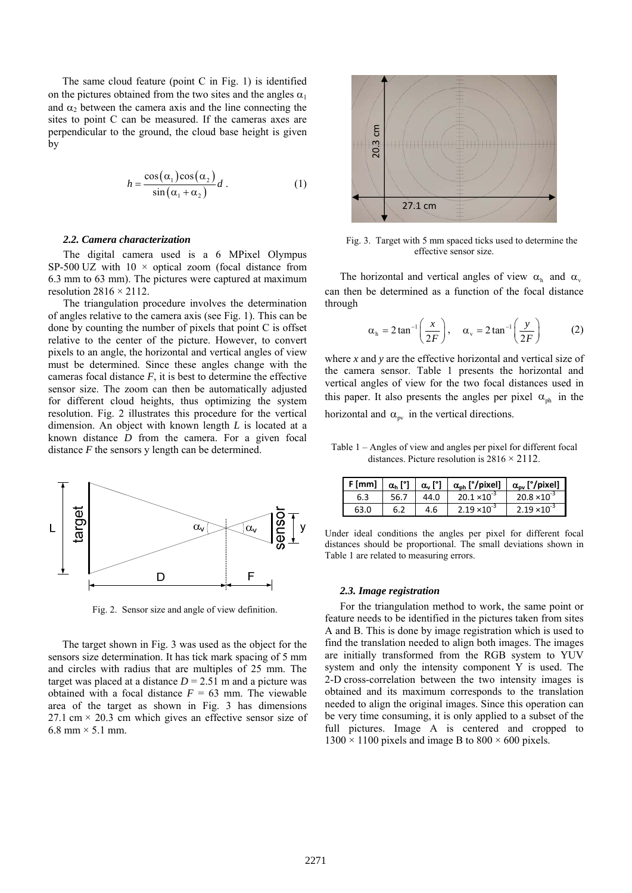The same cloud feature (point C in Fig. 1) is identified on the pictures obtained from the two sites and the angles  $\alpha_1$ and  $\alpha_2$  between the camera axis and the line connecting the sites to point C can be measured. If the cameras axes are perpendicular to the ground, the cloud base height is given by

$$
h = \frac{\cos(\alpha_1)\cos(\alpha_2)}{\sin(\alpha_1 + \alpha_2)}d.
$$
 (1)

#### *2.2. Camera characterization*

The digital camera used is a 6 MPixel Olympus SP-500 UZ with  $10 \times$  optical zoom (focal distance from 6.3 mm to 63 mm). The pictures were captured at maximum resolution  $2816 \times 2112$ .

The triangulation procedure involves the determination of angles relative to the camera axis (see Fig. 1). This can be done by counting the number of pixels that point C is offset relative to the center of the picture. However, to convert pixels to an angle, the horizontal and vertical angles of view must be determined. Since these angles change with the cameras focal distance  $F$ , it is best to determine the effective sensor size. The zoom can then be automatically adjusted for different cloud heights, thus optimizing the system resolution. Fig. 2 illustrates this procedure for the vertical dimension. An object with known length *L* is located at a known distance *D* from the camera. For a given focal distance *F* the sensors y length can be determined.



Fig. 2. Sensor size and angle of view definition.

The target shown in Fig. 3 was used as the object for the sensors size determination. It has tick mark spacing of 5 mm and circles with radius that are multiples of 25 mm. The target was placed at a distance  $D = 2.51$  m and a picture was obtained with a focal distance  $F = 63$  mm. The viewable area of the target as shown in Fig. 3 has dimensions 27.1 cm  $\times$  20.3 cm which gives an effective sensor size of  $6.8$  mm  $\times$  5.1 mm.



Fig. 3. Target with 5 mm spaced ticks used to determine the effective sensor size.

The horizontal and vertical angles of view  $\alpha_h$  and  $\alpha_v$ can then be determined as a function of the focal distance through

$$
\alpha_{\rm h} = 2 \tan^{-1} \left( \frac{x}{2F} \right), \quad \alpha_{\rm v} = 2 \tan^{-1} \left( \frac{y}{2F} \right) \tag{2}
$$

where *x* and *y* are the effective horizontal and vertical size of the camera sensor. Table 1 presents the horizontal and vertical angles of view for the two focal distances used in this paper. It also presents the angles per pixel  $\alpha_{\rm ph}$  in the horizontal and  $\alpha_{\text{pv}}$  in the vertical directions.

Table 1 – Angles of view and angles per pixel for different focal distances. Picture resolution is  $2816 \times 2112$ .

| $F$ [mm] | $\alpha_{h}$ [°] | $\alpha$ [°] | $\alpha_{\rm ph}$ [ $^{\circ}$ /pixel] | $\alpha_{\rm nv}$ [ $\gamma$ pixel] |
|----------|------------------|--------------|----------------------------------------|-------------------------------------|
| 6.3      | 56.7             | 44.0         | $20.1 \times 10^{-3}$                  | $20.8 \times 10^{-3}$               |
| 63.0     |                  | 4.6          | $2.19 \times 10^{-3}$                  | $2.19 \times 10^{-3}$               |

Under ideal conditions the angles per pixel for different focal distances should be proportional. The small deviations shown in Table 1 are related to measuring errors.

#### *2.3. Image registration*

For the triangulation method to work, the same point or feature needs to be identified in the pictures taken from sites A and B. This is done by image registration which is used to find the translation needed to align both images. The images are initially transformed from the RGB system to YUV system and only the intensity component Y is used. The 2-D cross-correlation between the two intensity images is obtained and its maximum corresponds to the translation needed to align the original images. Since this operation can be very time consuming, it is only applied to a subset of the full pictures. Image A is centered and cropped to  $1300 \times 1100$  pixels and image B to  $800 \times 600$  pixels.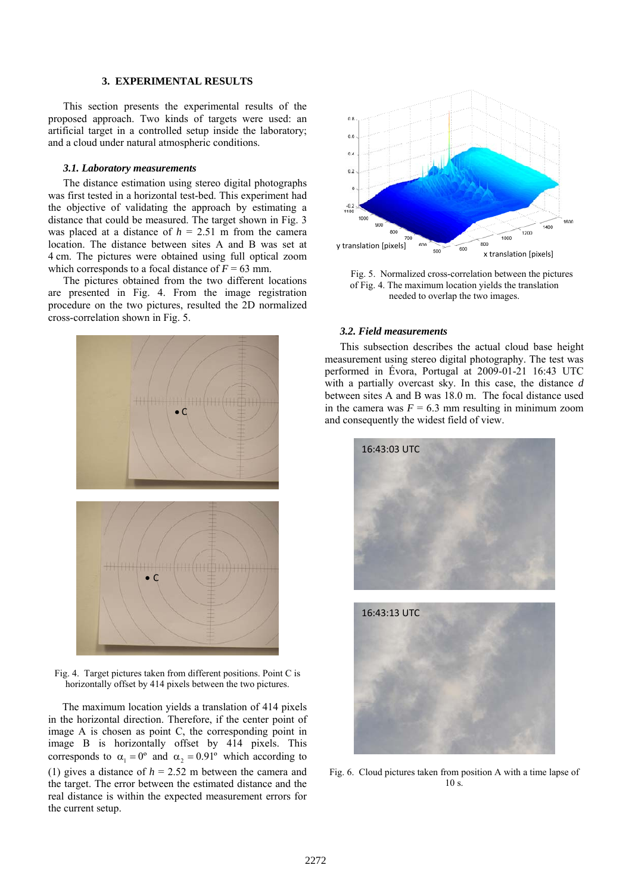## **3. EXPERIMENTAL RESULTS**

This section presents the experimental results of the proposed approach. Two kinds of targets were used: an artificial target in a controlled setup inside the laboratory; and a cloud under natural atmospheric conditions.

#### *3.1. Laboratory measurements*

The distance estimation using stereo digital photographs was first tested in a horizontal test-bed. This experiment had the objective of validating the approach by estimating a distance that could be measured. The target shown in Fig. 3 was placed at a distance of  $h = 2.51$  m from the camera location. The distance between sites A and B was set at 4 cm. The pictures were obtained using full optical zoom which corresponds to a focal distance of  $\bar{F} = 63$  mm.

The pictures obtained from the two different locations are presented in Fig. 4. From the image registration procedure on the two pictures, resulted the 2D normalized cross-correlation shown in Fig. 5.



Fig. 4. Target pictures taken from different positions. Point C is horizontally offset by 414 pixels between the two pictures.

The maximum location yields a translation of 414 pixels in the horizontal direction. Therefore, if the center point of image A is chosen as point C, the corresponding point in image B is horizontally offset by 414 pixels. This corresponds to  $\alpha_1 = 0^\circ$  and  $\alpha_2 = 0.91^\circ$  which according to (1) gives a distance of  $h = 2.52$  m between the camera and the target. The error between the estimated distance and the real distance is within the expected measurement errors for the current setup.



Fig. 5. Normalized cross-correlation between the pictures of Fig. 4. The maximum location yields the translation needed to overlap the two images.

## *3.2. Field measurements*

This subsection describes the actual cloud base height measurement using stereo digital photography. The test was performed in Évora, Portugal at 2009-01-21 16:43 UTC with a partially overcast sky. In this case, the distance *d* between sites A and B was 18.0 m. The focal distance used in the camera was  $F = 6.3$  mm resulting in minimum zoom and consequently the widest field of view.



Fig. 6. Cloud pictures taken from position A with a time lapse of 10 s.